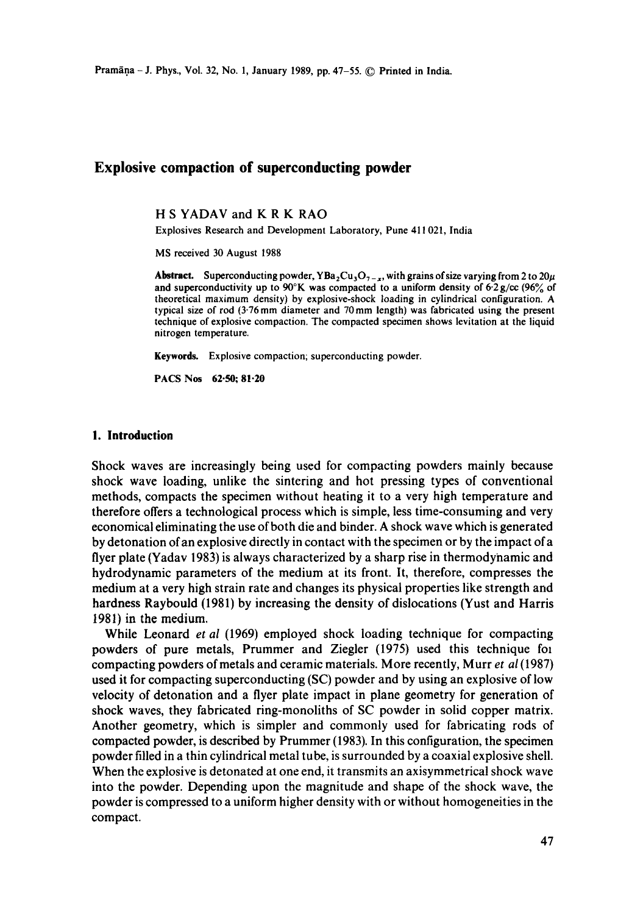# **Explosive compaction of superconducting powder**

H S YADAV and K R K RAO

Explosives Research and Development Laboratory, Pune 411 021, India

MS received 30 August 1988

**Abstract.** Superconducting powder, YBa<sub>2</sub>Cu<sub>3</sub>O<sub>7-x</sub>, with grains of size varying from 2 to 20 $\mu$ and superconductivity up to 90°K was compacted to a uniform density of  $6.2$  g/cc (96% of theoretical maximum density) by explosive-shock loading in cylindrical configuration. A typical size of rod  $(3.76 \text{ mm})$  diameter and  $70 \text{ mm}$  length) was fabricated using the present technique of explosive compaction. The compacted specimen shows levitation at the liquid nitrogen temperature.

**Keywords.** Explosive compaction; superconducting powder.

**PACS Nos 62.50; 81.20** 

### **I. Introduction**

Shock waves are increasingly being used for compacting powders mainly because shock wave loading, unlike the sintering and hot pressing types of conventional methods, compacts the specimen without heating it to a very high temperature and therefore offers a technological process which is simple, less time-consuming and very economical eliminating the use of both die and binder. A shock wave which is generated by detonation ofan explosive directly in contact with the specimen or by the impact of a flyer plate (Yadav 1983) is always characterized by a sharp rise in thermodynamic and hydrodynamic parameters of the medium at its front. It, therefore, compresses the medium at a very high strain rate and changes its physical properties like strength and hardness Raybould (1981) by increasing the density of dislocations (Yust and Harris 1981) in the medium.

While Leonard *et al* (1969) employed shock loading technique for compacting powders of pure metals, Prummer and Ziegler (1975) used this technique fol compacting powders of metals and ceramic materials. More recently, Murr *et al* (1987) used it for compacting superconducting (SC) powder and by using an explosive of low velocity of detonation and a flyer plate impact in plane geometry for generation of shock waves, they fabricated ring-monoliths of SC powder in solid copper matrix. Another geometry, which is simpler and commonly used for fabricating rods of compacted powder, is described by Prummer (1983). In this configuration, the specimen powder filled in a thin cylindrical metal tube, is surrounded by a coaxial explosive shell. When the explosive is detonated at one end, it transmits an axisymmetrical shock wave into the powder. Depending upon the magnitude and shape of the shock wave, the powder is compressed to a uniform higher density with or without homogeneities in the compact.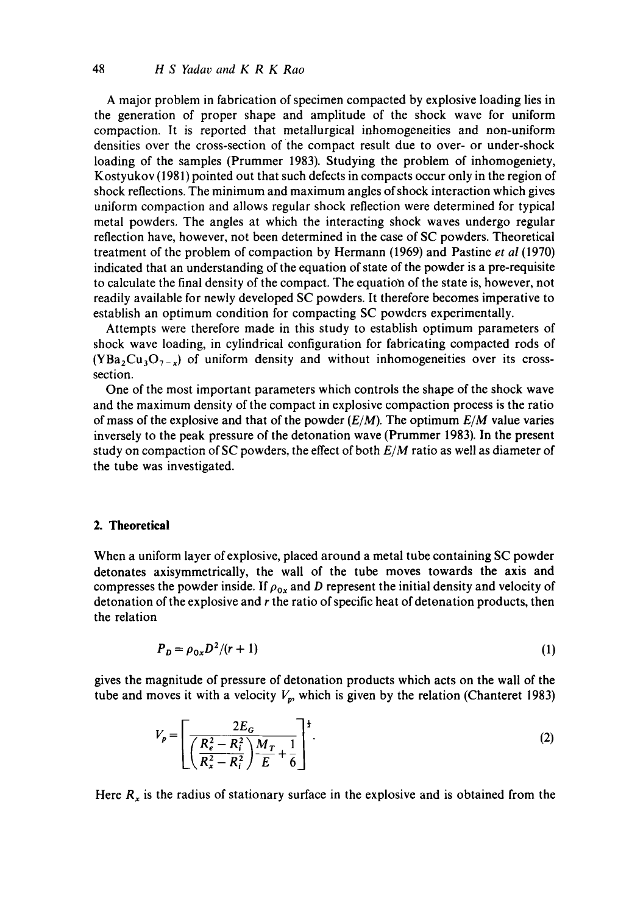A major problem in fabrication of specimen compacted by explosive loading lies in the generation of proper shape and amplitude of the shock wave for uniform compaction. It is reported that metallurgical inhomogeneities and non-uniform densities over the cross-section of the compact result due to over- or under-shock loading of the samples (Prummer 1983). Studying the problem of inhomogeniety, Kostyukov (1981) pointed out that such defects in compacts occur only in the region of shock reflections. The minimum and maximum angles of shock interaction which gives uniform compaction and allows regular shock reflection were determined for typical metal powders. The angles at which the interacting shock waves undergo regular reflection have, however, not been determined in the case of SC powders. Theoretical treatment of the problem of compaction by Hermann (1969) and Pastine *et al* (1970) indicated that an understanding of the equation of state of the powder is a pre-requisite to calculate the final density of the compact. The equation of the state is, however, not readily available for newly developed SC powders. It therefore becomes imperative to establish an optimum condition for compacting SC powders experimentally.

Attempts were therefore made in this study to establish optimum parameters of shock wave loading, in cylindrical configuration for fabricating compacted rods of  $(YBa<sub>2</sub>Cu<sub>3</sub>O<sub>7-x</sub>)$  of uniform density and without inhomogeneities over its crosssection.

One of the most important parameters which controls the shape of the shock wave and the maximum density of the compact in explosive compaction process is the ratio of mass of the explosive and that of the powder  $(E/M)$ . The optimum  $E/M$  value varies inversely to the peak pressure of the detonation wave (Prummer 1983). In the present study on compaction of SC powders, the effect of both *ElM* ratio as well as diameter of the tube was investigated.

### **2. Theoretical**

When a uniform layer of explosive, placed around a metal tube containing SC powder detonates axisymmetrically, the wall of the tube moves towards the axis and compresses the powder inside. If  $\rho_{0x}$  and D represent the initial density and velocity of detonation of the explosive and r the ratio of specific heat of detonation products, then the relation

$$
P_D = \rho_{0x} D^2 / (r+1) \tag{1}
$$

gives the magnitude of pressure of detonation products which acts on the wall of the tube and moves it with a velocity  $V_p$ , which is given by the relation (Chanteret 1983)

$$
V_p = \left[ \frac{2E_G}{\left( \frac{R_e^2 - R_i^2}{R_x^2 - R_i^2} \right) \frac{M_T}{E} + \frac{1}{6}} \right]^{\frac{1}{2}}.
$$
 (2)

Here  $R_x$  is the radius of stationary surface in the explosive and is obtained from the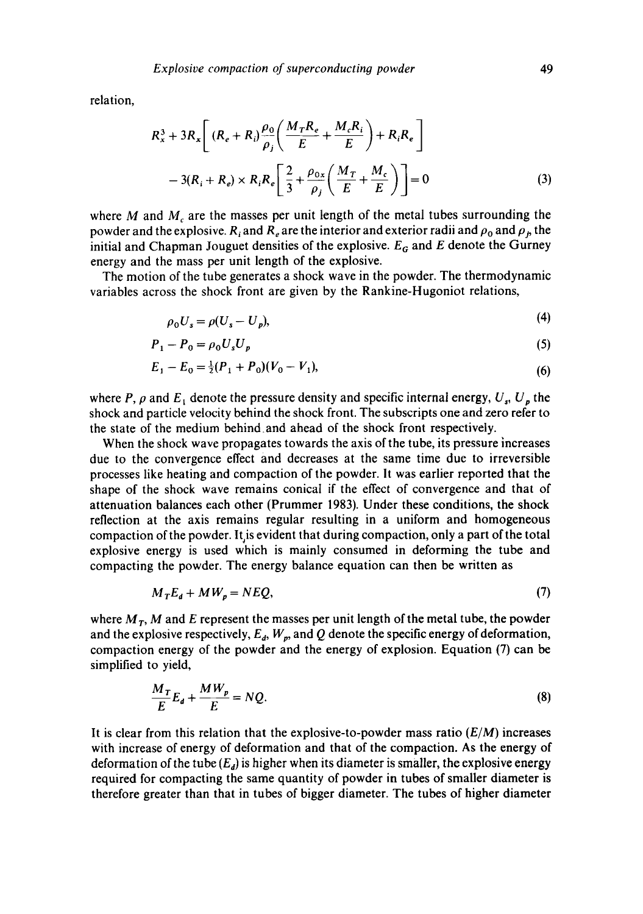relation,

$$
R_x^3 + 3R_x \left[ (R_e + R_i) \frac{\rho_0}{\rho_j} \left( \frac{M_T R_e}{E} + \frac{M_c R_i}{E} \right) + R_i R_e \right]
$$
  

$$
-3(R_i + R_e) \times R_i R_e \left[ \frac{2}{3} + \frac{\rho_{0x}}{\rho_j} \left( \frac{M_T}{E} + \frac{M_c}{E} \right) \right] = 0
$$
 (3)

where M and  $M<sub>c</sub>$  are the masses per unit length of the metal tubes surrounding the powder and the explosive. R<sub>i</sub> and R<sub>e</sub> are the interior and exterior radii and  $\rho_0$  and  $\rho_b$ , the initial and Chapman Jouguet densities of the explosive.  $E_G$  and E denote the Gurney energy and the mass per unit length of the explosive.

The motion of the tube generates a shock wave in the powder. The thermodynamic variables across the shock front are given by the Rankine-Hugoniot relations,

$$
\rho_0 U_s = \rho (U_s - U_p),\tag{4}
$$

$$
P_1 - P_0 = \rho_0 U_s U_p \tag{5}
$$

$$
E_1 - E_0 = \frac{1}{2}(P_1 + P_0)(V_0 - V_1),\tag{6}
$$

where P,  $\rho$  and  $E_1$  denote the pressure density and specific internal energy,  $U_s$ ,  $U_p$  the shock and particle velocity behind the shock front. The subscripts one and zero refer to the state of the medium behind and ahead of the shock front respectively.

When the shock wave propagates towards the axis of the tube, its pressure increases due to the convergence effect and decreases at the same time due to irreversible processes like heating and compaction of the powder. It was earlier reported that the shape of the shock wave remains conical if the effect of convergence and that of attenuation balances each other (Prummer 1983). Under these conditions, the shock reflection at the axis remains regular resulting in a uniform and homogeneous compaction of the powder. It is evident that during compaction, only a part of the total explosive energy is used which is mainly consumed in deforming the tube and compacting the powder. The energy balance equation can then be written as

$$
M_T E_d + M W_p = NEQ, \tag{7}
$$

where  $M_T$ , M and E represent the masses per unit length of the metal tube, the powder and the explosive respectively,  $E_d$ ,  $W_p$ , and Q denote the specific energy of deformation, compaction energy of the powder and the energy of explosion. Equation (7) can be simplified to yield,

$$
\frac{M_T}{E}E_d + \frac{MW_p}{E} = NQ.\tag{8}
$$

It is clear from this relation that the explosive-to-powder mass ratio  $(E/M)$  increases with increase of energy of deformation and that of the compaction. As the energy of deformation of the tube *(Ea)* is higher when its diameter is smaller, the explosive energy required for compacting the same quantity of powder in tubes of smaller diameter is therefore greater than that in tubes of bigger diameter. The tubes of higher diameter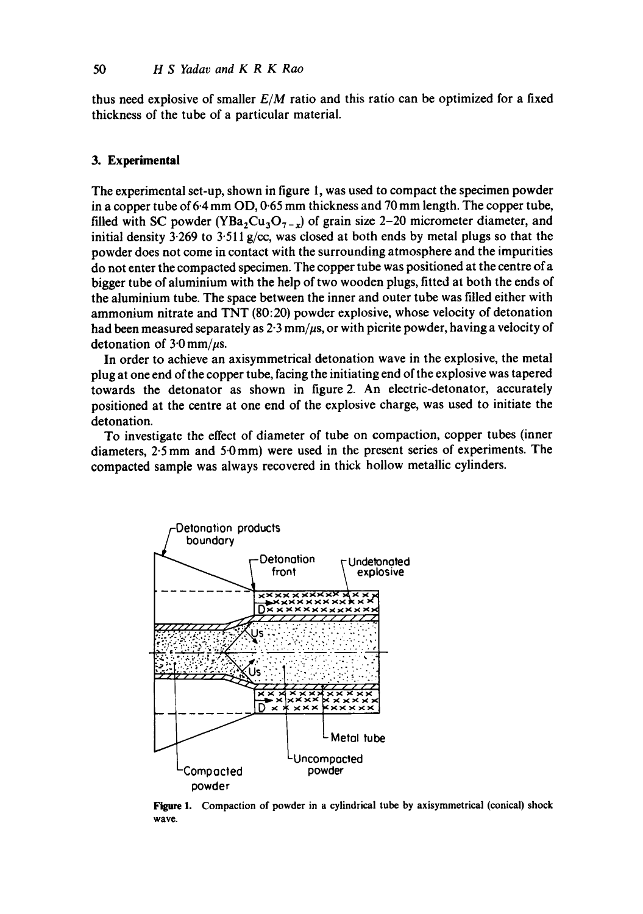thus need explosive of smaller *E/M* ratio and this ratio can be optimized for a fixed thickness of the tube of a particular material.

### **3. Experimental**

The experimental set-up, shown in figure 1, was used to compact the specimen powder in a copper tube of 6.4 mm OD, 0.65 mm thickness and 70 mm length. The copper tube, filled with SC powder (YBa<sub>2</sub>Cu<sub>3</sub>O<sub>7-x</sub>) of grain size 2-20 micrometer diameter, and initial density  $3.269$  to  $3.511$  g/cc, was closed at both ends by metal plugs so that the powder does not come in contact with the surrounding atmosphere and the impurities do not enter the compacted specimen. The copper tube was positioned at the centre of a bigger tube of aluminium with the help of two wooden plugs, fitted at both the ends of the aluminium tube. The space between the inner and outer tube was filled either with ammonium nitrate and TNT (80:20) powder explosive, whose velocity of detonation had been measured separately as  $2.3$  mm/ $\mu$ s, or with picrite powder, having a velocity of detonation of  $3.0 \text{ mm}/\mu\text{s}$ .

In order to achieve an axisymmetrical detonation wave in the explosive, the metal plug at one end of the copper tube, facing the initiating end of the explosive was tapered towards the detonator as shown in figure 2. An electric-detonator, accurately positioned at the centre at one end of the explosive charge, was used to initiate the detonation.

To investigate the effect of diameter of tube on compaction, copper tubes (inner diameters, 2.5mm and 5.0mm) were used in the present series of experiments. The compacted sample was always recovered in thick hollow metallic cylinders.



Figure 1. Compaction of powder in a cylindrical tube by axisymmetrical (conical) **shock wave.**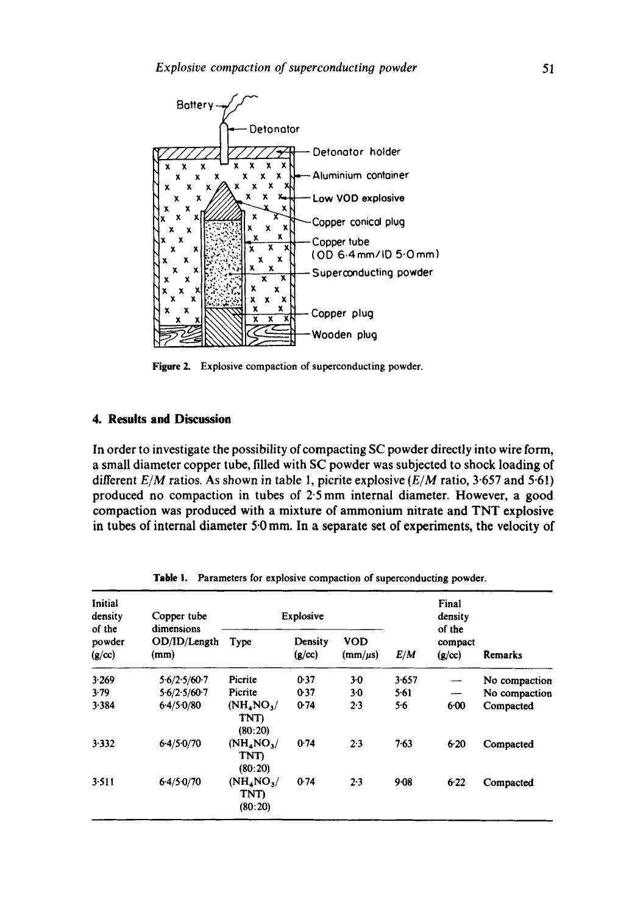

**Figure** 2. Explosive compaction of superconducting powder.

## **4. Results and Discussion**

In order to investigate the possibility of compacting SC powder directly into wire form, a small diameter copper tube, filled with SC powder was subjected to shock loading of different *E/M* ratios. As shown in table 1, picrite explosive *(E/M* ratio, 3.657 and 5.61) produced no compaction in tubes of 2.5 mm internal diameter. However, a good compaction was produced with a mixture of ammonium nitrate and TNT explosive in tubes of internal diameter 5.0 mm. In a separate set of experiments, the velocity of

| Initial<br>density<br>of the<br>powder<br>(g/cc) | Copper tube<br>dimensions<br>OD/ID/Length<br>(mm) | Explosive                                             |                                                |                            |          | Final<br>density<br>of the |               |
|--------------------------------------------------|---------------------------------------------------|-------------------------------------------------------|------------------------------------------------|----------------------------|----------|----------------------------|---------------|
|                                                  |                                                   | Type                                                  | Density<br>$(\mathbf{g}/\mathbf{c}\mathbf{c})$ | <b>VOD</b><br>$(mm/\mu s)$ | E/M      | compact<br>(g/cc)          | Remarks       |
| 3.269                                            | 5.6/2.5/60.7                                      | Picrite                                               | 0.37                                           | 3.0                        | 3.657    |                            | No compaction |
| 3.79                                             | 5.6/2.5/60.7                                      | Picrite                                               | 0.37                                           | $3-0$                      | 5.61     |                            | No compaction |
| 3.384                                            | 6.4/5.0/80                                        | $(NH_{4}NO_{3})$<br>TNT)<br>(80:20)                   | 0.74                                           | 2.3                        | 56       | $6 - 00$                   | Compacted     |
| 3.332                                            | $6-4/5-0/70$                                      | (NH <sub>4</sub> NO <sub>3</sub> )<br>TNT)<br>(80:20) | 0.74                                           | 2.3                        | 7.63     | 6.20                       | Compacted     |
| 3.511                                            | 6.4/5.0/70                                        | (NH <sub>4</sub> NO <sub>3</sub><br>TNT)<br>(80:20)   | 0.74                                           | 2.3                        | $9 - 08$ | $6-22$                     | Compacted     |

Table I. Parameters for explosive compaction of superconducting powder.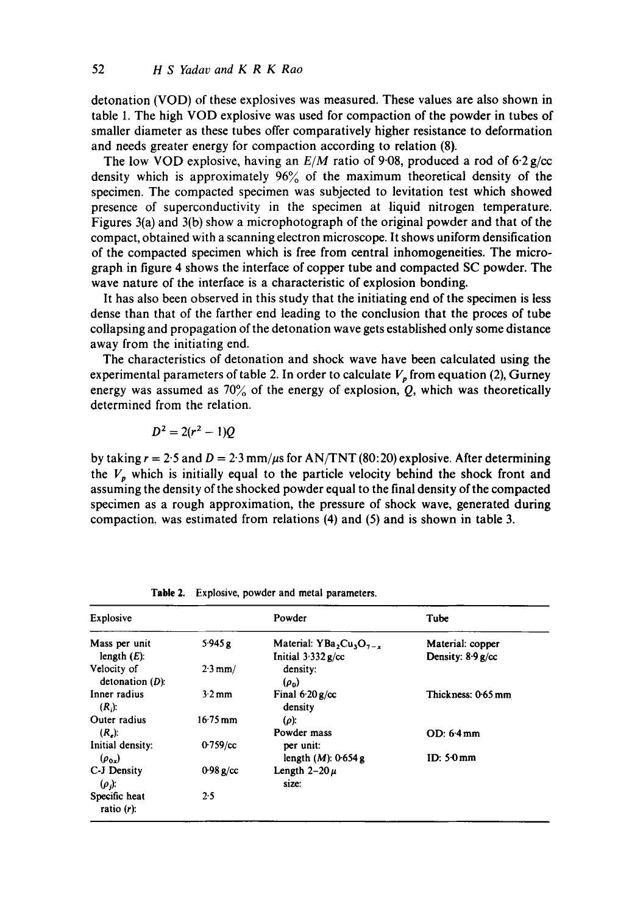detonation (VOD) of these explosives was measured. These values are also shown in table i. The high VOD explosive was used for compaction of the powder in tubes of smaller diameter as these tubes offer comparatively higher resistance to deformation and needs greater energy for compaction according to relation (8).

The low VOD explosive, having an *E/M* ratio of 9-08, produced a rod of 6-2 g/cc density which is approximately  $96\%$  of the maximum theoretical density of the specimen. The compacted specimen was subjected to levitation test which showed presence of superconductivity in the specimen at liquid nitrogen temperature. Figures 3(a) and 3(b) show a microphotograph of the original powder and that of the compact, obtained with a scanning electron microscope. It shows uniform densification of the compacted specimen which is free from central inhomogeneities. The micrograph in figure 4 shows the interface of copper tube and compacted SC powder. The wave nature of the interface is a characteristic of explosion bonding.

It has also been observed in this study that the initiating end of the specimen is less dense than that of the farther end leading to the conclusion that the proces of tube collapsing and propagation of the detonation wave gets established only some distance away from the initiating end.

The characteristics of detonation and shock wave have been calculated using the experimental parameters of table 2. In order to calculate  $V_p$  from equation (2), Gurney energy was assumed as  $70\%$  of the energy of explosion, Q, which was theoretically determined from the relation.

$$
D^2=2(r^2-1)Q
$$

by taking  $r = 2.5$  and  $D = 2.3$  mm/ $\mu$ s for AN/TNT (80:20) explosive. After determining the  $V_p$  which is initially equal to the particle velocity behind the shock front and assuming the density of the shocked powder equal to the final density of the compacted specimen as a rough approximation, the pressure of shock wave, generated during compaction, was estimated from relations (4) and (5) and is shown in table 3.

| Explosive                         |                       | Powder                                               | Tube                                     |
|-----------------------------------|-----------------------|------------------------------------------------------|------------------------------------------|
| Mass per unit<br>length $(E)$ .   | 5.945 g               | Material: YBa, $Cu_1O_{7-x}$<br>Initial $3.332$ g/cc | Material: copper<br>Density: $8.9 g$ /cc |
| Velocity of<br>detonation $(D)$ : | $2.3 \text{ mm}$ /    | density:<br>$(\rho_0)$                               |                                          |
| Inner radius<br>$(R_i)$ :         | $3.2 \text{ mm}$      | Final $6.20 g/cc$<br>density                         | Thickness: 0.65 mm                       |
| Outer radius<br>$(Re)$ :          | $16.75 \,\mathrm{mm}$ | $(\rho)$ :<br>Powder mass                            | $OD: 6.4 \, \text{mm}$                   |
| Initial density:<br>$(\rho_{0x})$ | $0.759$ /cc           | per unit:<br>length $(M)$ : 0.654 g                  | ID: $50 \,\mathrm{mm}$                   |
| C-J Density<br>$(\rho)$ :         | 0.98 g/cc             | Length $2-20 \mu$<br>size:                           |                                          |
| Specific heat<br>ratio $(r)$ :    | 2.5                   |                                                      |                                          |

Table 2. Explosive, powder and **metal parameters.**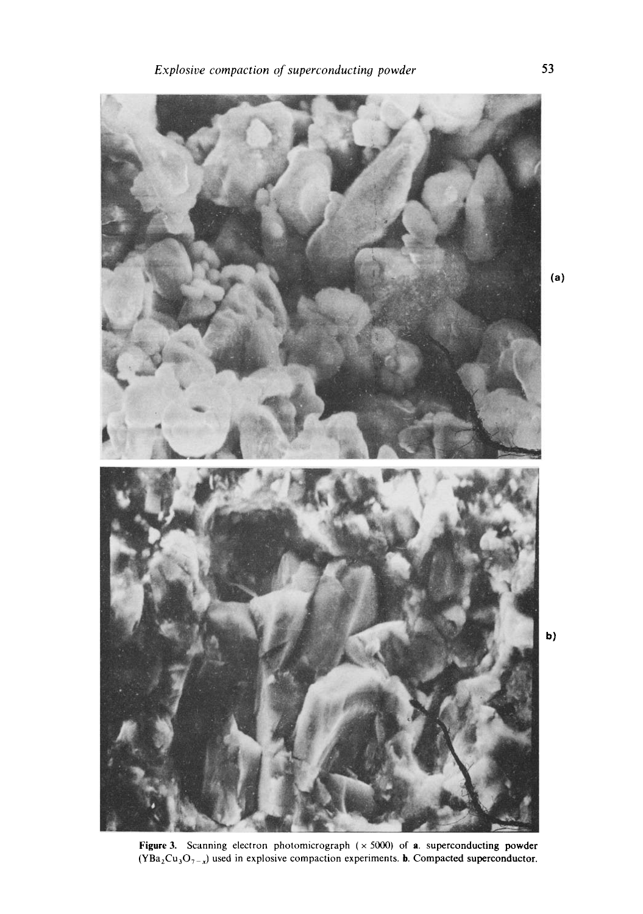

on photomicrograph  $(\times 5000)$  of **a**.<br>plosive compaction experiments. **b**. Co micrograph  $(\times 5000)$  of **a** superconduct<br>municion experiments **h** Compacted super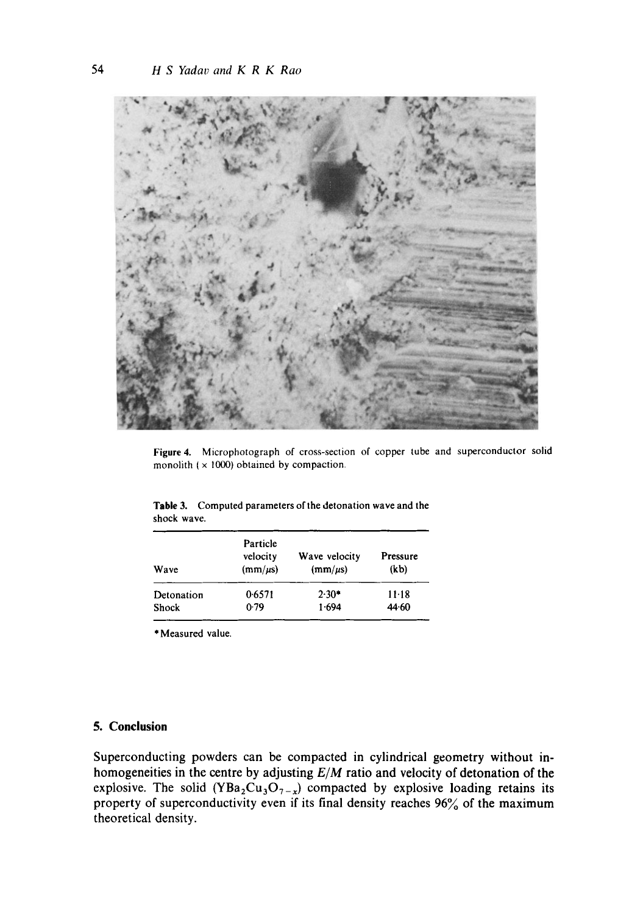

Figure 4. Microphotograph of cross-section of copper tube and superconductor solid monolith ( $\times$  1000) obtained by compaction.

**Table** 3. Computed parameters of the detonation wave and the shock wave.

| Wave       | Particle<br>velocity<br>$(mm/\mu s)$ | Wave velocity<br>$(mm/\mu s)$ | Pressure<br>(k <sub>b</sub> ) |  |  |
|------------|--------------------------------------|-------------------------------|-------------------------------|--|--|
| Detonation | 0.6571                               | $2.30*$                       | $11 - 18$                     |  |  |
| Shock      | 0.79                                 | 1.694                         | 44.60                         |  |  |

\*Measured value.

# **5. Conclusion**

Superconducting powders can be compacted in cylindrical geometry without inhomogeneities in the centre by adjusting *ElM* ratio and velocity of detonation of the explosive. The solid (YBa<sub>2</sub>Cu<sub>3</sub>O<sub>7-x</sub>) compacted by explosive loading retains its property of superconductivity even if its final density reaches 96% of the maximum theoretical density.